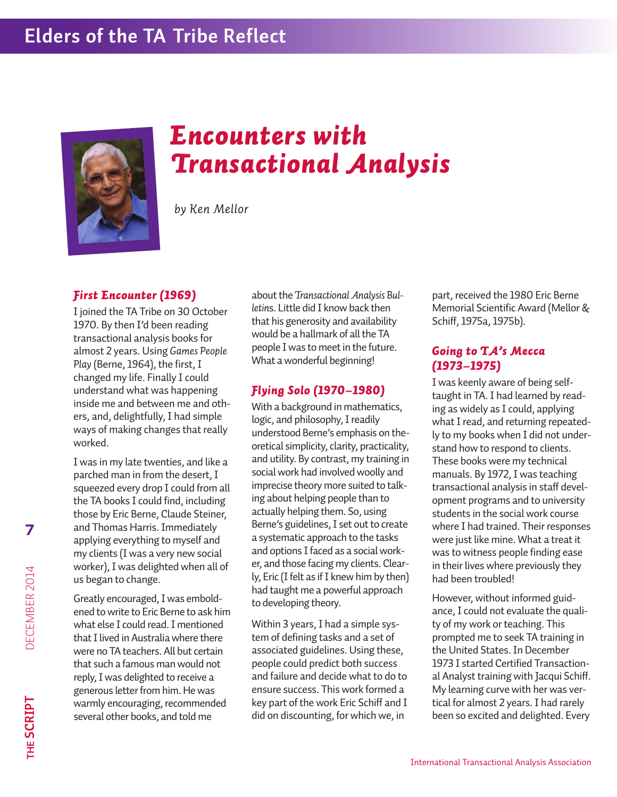

# *Encounters with Transactional Analysis*

*by Ken Mellor*

#### *First Encounter (1969)*

I joined the TA Tribe on 30 October 1970. By then I'd been reading transactional analysis books for almost 2 years. Using *Games People* Play (Berne, 1964), the first, I changed my life. Finally I could understand what was happening inside me and between me and others, and, delightfully,I had simple ways of making changes that really worked.

I was in my late twenties, and like a parched man in from the desert, I squeezed every drop I could from all the TA books I could find, including those by Eric Berne, Claude Steiner, and Thomas Harris.Immediately applying everything to myself and my clients (I was a very new social worker),I was delighted when all of us began to change.

**7**

**the s C**

**RiP t**

de c بب  $\mathbb S$ بينا  $\mathbf{r}$ 2 014

Greatly encouraged,I was emboldened to write to Eric Berne to ask him what else I could read. I mentioned that I lived in Australia where there were no TA teachers. All but certain that such a famous man would not reply,I was delighted to receive a generous letter from him. He was warmly encouraging, recommended several other books, and told me

about the *Transactional Analysis* Bul*letin*s. Little did I know back then that his generosity and availability would be a hallmark of all the TA people I was to meet in the future. What a wonderful beginning!

# *Flying Solo (1970–1980)*

With a background in mathematics, logic, and philosophy, I readily understood Berne's emphasis on theoretical simplicity, clarity, practicality, and utility. By contrast, my training in social work had involved woolly and imprecise theory more suited to talking about helping people than to actually helping them. So, using Berne's guidelines, I set out to create a systematic approach to the tasks and options Ifaced as a social worker, and those facing my clients. Clearly, Eric (I felt as if I knew him by then) had taught me a powerful approach to developing theory.

Within 3 years, I had a simple system of defining tasks and a set of associated guidelines. Using these, people could predict both success and failure and decide what to do to ensure success. This work formed a key part of the work Eric Schiff and I did on discounting, for which we, in

part, received the 1980 Eric Berne Memorial Scientific Award (Mellor & Schiff, 1975a, 1975b).

## *Going to TA's Mecca (1973–1975)*

I was keenly aware of being selftaught in TA. I had learned by reading as widely as I could, applying what I read, and returning repeatedly to my books when I did not understand how to respond to clients. These books were my technical manuals. By 1972, I was teaching transactional analysis in staff development programs and to university students in the social work course where I had trained. Their responses were just like mine. What a treat it was to witness people finding ease in their lives where previously they had been troubled!

However, without informed guidance,I could not evaluate the quality of my work or teaching. This prompted me to seek TA training in the United States.In December 1973 I started Certified Transactional Analyst training with Jacqui Schiff. My learning curve with her was vertical for almost 2 years. I had rarely been so excited and delighted. Every